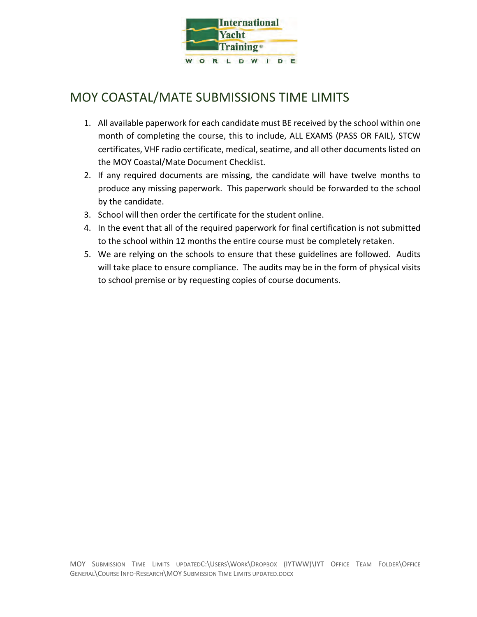

## MOY COASTAL/MATE SUBMISSIONS TIME LIMITS

- 1. All available paperwork for each candidate must BE received by the school within one month of completing the course, this to include, ALL EXAMS (PASS OR FAIL), STCW certificates, VHF radio certificate, medical, seatime, and all other documents listed on the MOY Coastal/Mate Document Checklist.
- 2. If any required documents are missing, the candidate will have twelve months to produce any missing paperwork. This paperwork should be forwarded to the school by the candidate.
- 3. School will then order the certificate for the student online.
- 4. In the event that all of the required paperwork for final certification is not submitted to the school within 12 months the entire course must be completely retaken.
- 5. We are relying on the schools to ensure that these guidelines are followed. Audits will take place to ensure compliance. The audits may be in the form of physical visits to school premise or by requesting copies of course documents.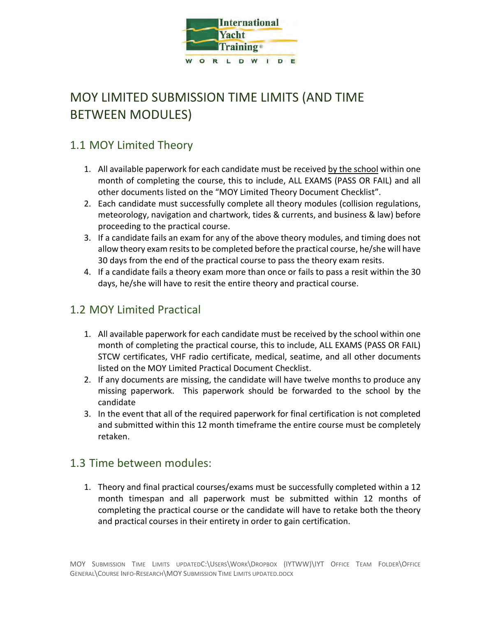

# MOY LIMITED SUBMISSION TIME LIMITS (AND TIME BETWEEN MODULES)

### 1.1 MOY Limited Theory

- 1. All available paperwork for each candidate must be received by the school within one month of completing the course, this to include, ALL EXAMS (PASS OR FAIL) and all other documents listed on the "MOY Limited Theory Document Checklist".
- 2. Each candidate must successfully complete all theory modules (collision regulations, meteorology, navigation and chartwork, tides & currents, and business & law) before proceeding to the practical course.
- 3. If a candidate fails an exam for any of the above theory modules, and timing does not allow theory exam resits to be completed before the practical course, he/she will have 30 days from the end of the practical course to pass the theory exam resits.
- 4. If a candidate fails a theory exam more than once or fails to pass a resit within the 30 days, he/she will have to resit the entire theory and practical course.

### 1.2 MOY Limited Practical

- 1. All available paperwork for each candidate must be received by the school within one month of completing the practical course, this to include, ALL EXAMS (PASS OR FAIL) STCW certificates, VHF radio certificate, medical, seatime, and all other documents listed on the MOY Limited Practical Document Checklist.
- 2. If any documents are missing, the candidate will have twelve months to produce any missing paperwork. This paperwork should be forwarded to the school by the candidate
- 3. In the event that all of the required paperwork for final certification is not completed and submitted within this 12 month timeframe the entire course must be completely retaken.

#### 1.3 Time between modules:

1. Theory and final practical courses/exams must be successfully completed within a 12 month timespan and all paperwork must be submitted within 12 months of completing the practical course or the candidate will have to retake both the theory and practical courses in their entirety in order to gain certification.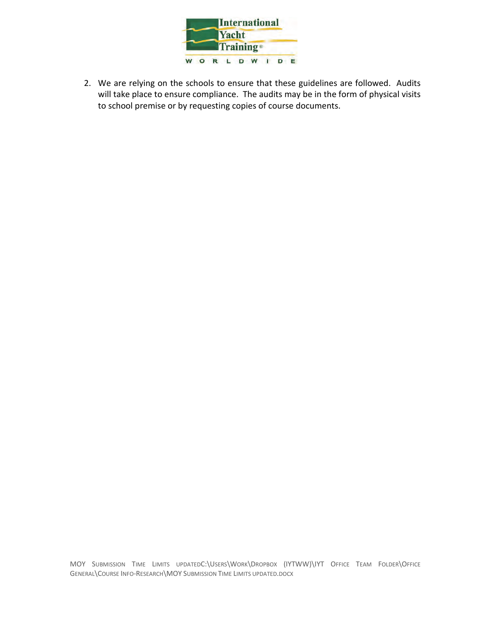

2. We are relying on the schools to ensure that these guidelines are followed. Audits will take place to ensure compliance. The audits may be in the form of physical visits to school premise or by requesting copies of course documents.